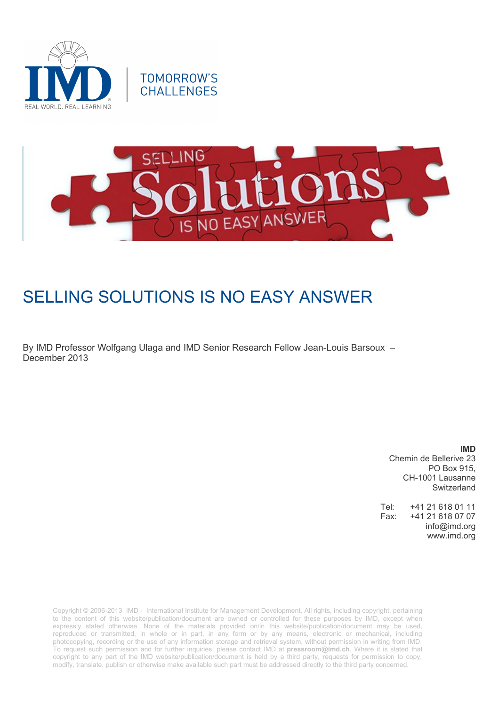



# SELLING SOLUTIONS IS NO EASY ANSWER

By IMD Professor Wolfgang Ulaga and IMD Senior Research Fellow Jean-Louis Barsoux – December 2013

> **IMD** Chemin de Bellerive 23 PO Box 915, CH-1001 Lausanne Switzerland

Tel: +41 21 618 01 11 Fax: +41 21 618 07 07 info@imd.org www.imd.org

Copyright © 2006-2013 IMD - International Institute for Management Development. All rights, including copyright, pertaining to the content of this website/publication/document are owned or controlled for these purposes by IMD, except when expressly stated otherwise. None of the materials provided on/in this website/publication/document may be used, reproduced or transmitted, in whole or in part, in any form or by any means, electronic or mechanical, including photocopying, recording or the use of any information storage and retrieval system, without permission in writing from IMD. To request such permission and for further inquiries, please contact IMD at **[pressroom@imd.ch](mailto:pressroom@imd.ch)**. Where it is stated that copyright to any part of the IMD website/publication/document is held by a third party, requests for permission to copy, modify, translate, publish or otherwise make available such part must be addressed directly to the third party concerned.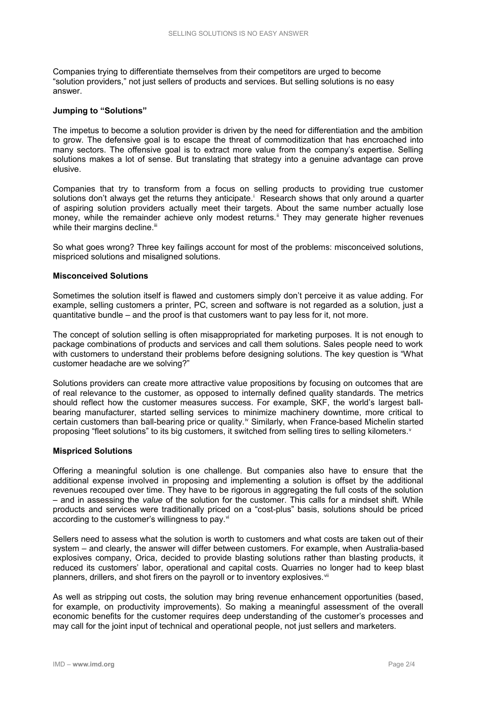Companies trying to differentiate themselves from their competitors are urged to become "solution providers," not just sellers of products and services. But selling solutions is no easy answer.

### **Jumping to "Solutions"**

The impetus to become a solution provider is driven by the need for differentiation and the ambition to grow. The defensive goal is to escape the threat of commoditization that has encroached into many sectors. The offensive goal is to extract more value from the company's expertise. Selling solutions makes a lot of sense. But translating that strategy into a genuine advantage can prove elusive.

Companies that try to transform from a focus on selling products to providing true customer solutions don't always get the returns they anticipate.<sup>1</sup> Research shows that only around a quarter of aspiring solution providers actually meet their targets. About the same number actually lose money, while the remainder achieve only modest returns.<sup>ii</sup> They may generate higher revenues while their margins decline.<sup>iii</sup>

So what goes wrong? Three key failings account for most of the problems: misconceived solutions, mispriced solutions and misaligned solutions.

#### **Misconceived Solutions**

Sometimes the solution itself is flawed and customers simply don't perceive it as value adding. For example, selling customers a printer, PC, screen and software is not regarded as a solution, just a quantitative bundle – and the proof is that customers want to pay less for it, not more.

The concept of solution selling is often misappropriated for marketing purposes. It is not enough to package combinations of products and services and call them solutions. Sales people need to work with customers to understand their problems before designing solutions. The key question is "What customer headache are we solving?"

Solutions providers can create more attractive value propositions by focusing on outcomes that are of real relevance to the customer, as opposed to internally defined quality standards. The metrics should reflect how the customer measures success. For example, SKF, the world's largest ballbearing manufacturer, started selling services to minimize machinery downtime, more critical to certain customers than ball-bearing price or quality.<sup>iv</sup> Similarly, when France-based Michelin started proposing "fleet solutions" to its big customers, it switched from selling tires to selling kilometers.

### **Mispriced Solutions**

Offering a meaningful solution is one challenge. But companies also have to ensure that the additional expense involved in proposing and implementing a solution is offset by the additional revenues recouped over time. They have to be rigorous in aggregating the full costs of the solution – and in assessing the *value* of the solution for the customer. This calls for a mindset shift. While products and services were traditionally priced on a "cost-plus" basis, solutions should be priced according to the customer's willingness to pay.<sup>vi</sup>

Sellers need to assess what the solution is worth to customers and what costs are taken out of their system – and clearly, the answer will differ between customers. For example, when Australia-based explosives company, Orica, decided to provide blasting solutions rather than blasting products, it reduced its customers' labor, operational and capital costs. Quarries no longer had to keep blast planners, drillers, and shot firers on the payroll or to inventory explosives.<sup>vii</sup>

As well as stripping out costs, the solution may bring revenue enhancement opportunities (based, for example, on productivity improvements). So making a meaningful assessment of the overall economic benefits for the customer requires deep understanding of the customer's processes and may call for the joint input of technical and operational people, not just sellers and marketers.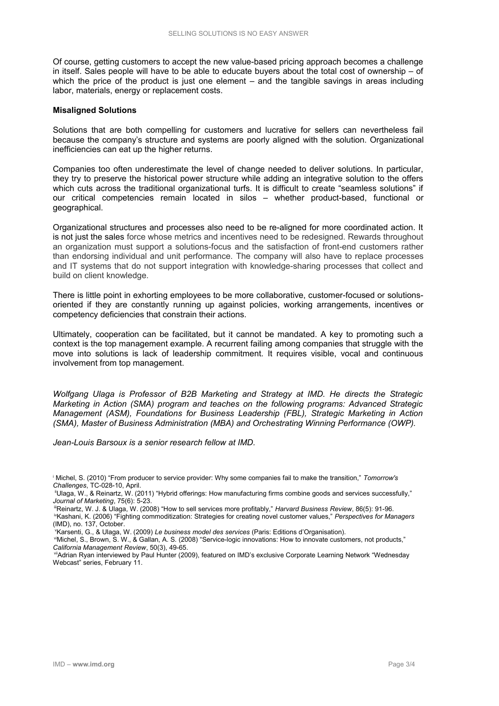Of course, getting customers to accept the new value-based pricing approach becomes a challenge in itself. Sales people will have to be able to educate buyers about the total cost of ownership – of which the price of the product is just one element – and the tangible savings in areas including labor, materials, energy or replacement costs.

### **Misaligned Solutions**

Solutions that are both compelling for customers and lucrative for sellers can nevertheless fail because the company's structure and systems are poorly aligned with the solution. Organizational inefficiencies can eat up the higher returns.

Companies too often underestimate the level of change needed to deliver solutions. In particular, they try to preserve the historical power structure while adding an integrative solution to the offers which cuts across the traditional organizational turfs. It is difficult to create "seamless solutions" if our critical competencies remain located in silos – whether product-based, functional or geographical.

Organizational structures and processes also need to be re-aligned for more coordinated action. It is not just the sales force whose metrics and incentives need to be redesigned. Rewards throughout an organization must support a solutions-focus and the satisfaction of front-end customers rather than endorsing individual and unit performance. The company will also have to replace processes and IT systems that do not support integration with knowledge-sharing processes that collect and build on client knowledge.

There is little point in exhorting employees to be more collaborative, customer-focused or solutionsoriented if they are constantly running up against policies, working arrangements, incentives or competency deficiencies that constrain their actions.

Ultimately, cooperation can be facilitated, but it cannot be mandated. A key to promoting such a context is the top management example. A recurrent failing among companies that struggle with the move into solutions is lack of leadership commitment. It requires visible, vocal and continuous involvement from top management.

*Wolfgang Ulaga is Professor of B2B Marketing and Strategy at IMD. He directs the Strategic Marketing in Action (SMA) program and teaches on the following programs: Advanced Strategic Management (ASM), Foundations for Business Leadership (FBL), Strategic Marketing in Action (SMA), Master of Business Administration (MBA) and Orchestrating Winning Performance (OWP).* 

*Jean-Louis Barsoux is a senior research fellow at IMD.* 

<sup>v</sup>Karsenti, G., & Ulaga, W. (2009) *Le business model des services* (Paris: Editions d'Organisation).

 viMichel, S., Brown, S. W., & Gallan, A. S. (2008) "Service-logic innovations: How to innovate customers, not products," *California Management Review*, 50(3), 49-65.

<sup>i</sup> Michel, S. (2010) "From producer to service provider: Why some companies fail to make the transition," *Tomorrow's Challenges*, TC-028-10, April.

iiUlaga, W., & Reinartz, W. (2011) "Hybrid offerings: How manufacturing firms combine goods and services successfully," *Journal of Marketing*, 75(6): 5-23.

iiiReinartz, W. J. & Ulaga, W. (2008) "How to sell services more profitably," *Harvard Business Review*, 86(5): 91-96.

ivKashani, K. (2006) "Fighting commoditization: Strategies for creating novel customer values," *Perspectives for Managers* (IMD), no. 137, October.

viiAdrian Ryan interviewed by Paul Hunter (2009), featured on IMD's exclusive Corporate Learning Network "Wednesday Webcast" series, February 11.